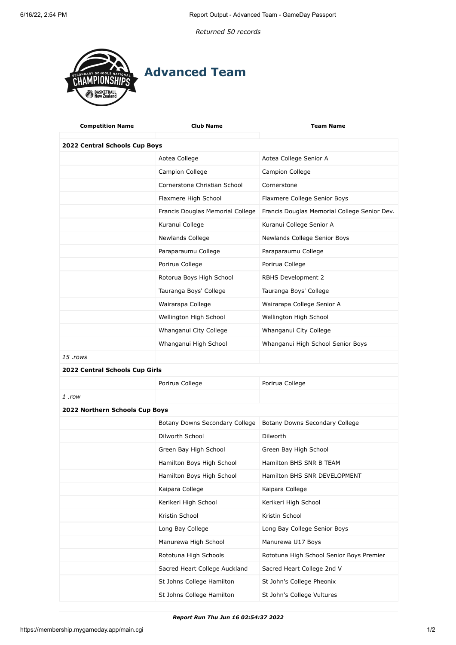*Returned 50 records*



| <b>Competition Name</b>        | <b>Club Name</b>                 | <b>Team Name</b>                             |  |
|--------------------------------|----------------------------------|----------------------------------------------|--|
| 2022 Central Schools Cup Boys  |                                  |                                              |  |
|                                | Aotea College                    | Aotea College Senior A                       |  |
|                                | Campion College                  | Campion College                              |  |
|                                | Cornerstone Christian School     | Cornerstone                                  |  |
|                                | Flaxmere High School             | Flaxmere College Senior Boys                 |  |
|                                | Francis Douglas Memorial College | Francis Douglas Memorial College Senior Dev. |  |
|                                | Kuranui College                  | Kuranui College Senior A                     |  |
|                                | Newlands College                 | Newlands College Senior Boys                 |  |
|                                | Paraparaumu College              | Paraparaumu College                          |  |
|                                | Porirua College                  | Porirua College                              |  |
|                                | Rotorua Boys High School         | RBHS Development 2                           |  |
|                                | Tauranga Boys' College           | Tauranga Boys' College                       |  |
|                                | Wairarapa College                | Wairarapa College Senior A                   |  |
|                                | Wellington High School           | Wellington High School                       |  |
|                                | Whanganui City College           | Whanganui City College                       |  |
|                                | Whanganui High School            | Whanganui High School Senior Boys            |  |
| 15 .rows                       |                                  |                                              |  |
| 2022 Central Schools Cup Girls |                                  |                                              |  |
|                                | Porirua College                  | Porirua College                              |  |
| 1 .row                         |                                  |                                              |  |
| 2022 Northern Schools Cup Boys |                                  |                                              |  |
|                                | Botany Downs Secondary College   | Botany Downs Secondary College               |  |
|                                | Dilworth School                  | <b>Dilworth</b>                              |  |
|                                | Green Bay High School            | Green Bay High School                        |  |
|                                | Hamilton Boys High School        | Hamilton BHS SNR B TEAM                      |  |
|                                | Hamilton Boys High School        | Hamilton BHS SNR DEVELOPMENT                 |  |
|                                | Kaipara College                  | Kaipara College                              |  |
|                                | Kerikeri High School             | Kerikeri High School                         |  |
|                                | Kristin School                   | Kristin School                               |  |
|                                | Long Bay College                 | Long Bay College Senior Boys                 |  |
|                                | Manurewa High School             | Manurewa U17 Boys                            |  |
|                                | Rototuna High Schools            | Rototuna High School Senior Boys Premier     |  |
|                                | Sacred Heart College Auckland    | Sacred Heart College 2nd V                   |  |
|                                | St Johns College Hamilton        | St John's College Pheonix                    |  |
|                                | St Johns College Hamilton        | St John's College Vultures                   |  |